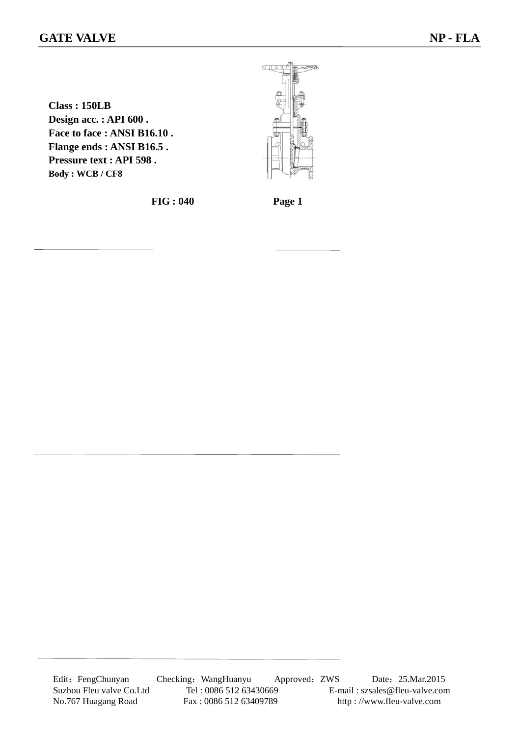## **GATE VALVE** NP - FLA

**Class : 150LB Design acc. : API 600 . Face to face : ANSI B16.10 . Flange ends : ANSI B16.5 . Pressure text : API 598 . Body : WCB / CF8**

**FIG : 040 Page 1**